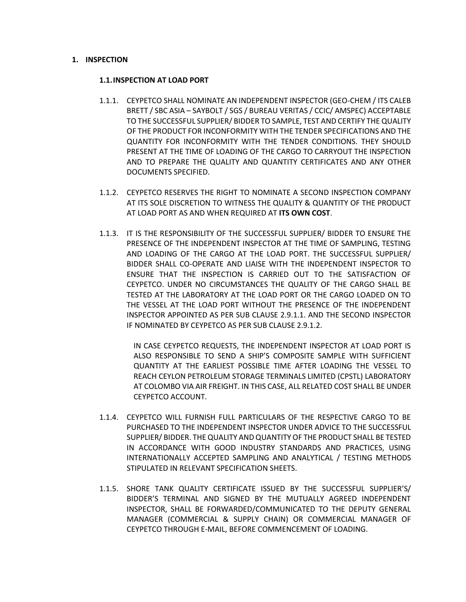## **1. INSPECTION**

## **1.1.INSPECTION AT LOAD PORT**

- 1.1.1. CEYPETCO SHALL NOMINATE AN INDEPENDENT INSPECTOR (GEO-CHEM / ITS CALEB BRETT / SBC ASIA – SAYBOLT / SGS / BUREAU VERITAS / CCIC/ AMSPEC) ACCEPTABLE TO THE SUCCESSFUL SUPPLIER/ BIDDER TO SAMPLE, TEST AND CERTIFY THE QUALITY OF THE PRODUCT FOR INCONFORMITY WITH THE TENDER SPECIFICATIONS AND THE QUANTITY FOR INCONFORMITY WITH THE TENDER CONDITIONS. THEY SHOULD PRESENT AT THE TIME OF LOADING OF THE CARGO TO CARRYOUT THE INSPECTION AND TO PREPARE THE QUALITY AND QUANTITY CERTIFICATES AND ANY OTHER DOCUMENTS SPECIFIED.
- 1.1.2. CEYPETCO RESERVES THE RIGHT TO NOMINATE A SECOND INSPECTION COMPANY AT ITS SOLE DISCRETION TO WITNESS THE QUALITY & QUANTITY OF THE PRODUCT AT LOAD PORT AS AND WHEN REQUIRED AT **ITS OWN COST**.
- 1.1.3. IT IS THE RESPONSIBILITY OF THE SUCCESSFUL SUPPLIER/ BIDDER TO ENSURE THE PRESENCE OF THE INDEPENDENT INSPECTOR AT THE TIME OF SAMPLING, TESTING AND LOADING OF THE CARGO AT THE LOAD PORT. THE SUCCESSFUL SUPPLIER/ BIDDER SHALL CO-OPERATE AND LIAISE WITH THE INDEPENDENT INSPECTOR TO ENSURE THAT THE INSPECTION IS CARRIED OUT TO THE SATISFACTION OF CEYPETCO. UNDER NO CIRCUMSTANCES THE QUALITY OF THE CARGO SHALL BE TESTED AT THE LABORATORY AT THE LOAD PORT OR THE CARGO LOADED ON TO THE VESSEL AT THE LOAD PORT WITHOUT THE PRESENCE OF THE INDEPENDENT INSPECTOR APPOINTED AS PER SUB CLAUSE 2.9.1.1. AND THE SECOND INSPECTOR IF NOMINATED BY CEYPETCO AS PER SUB CLAUSE 2.9.1.2.

IN CASE CEYPETCO REQUESTS, THE INDEPENDENT INSPECTOR AT LOAD PORT IS ALSO RESPONSIBLE TO SEND A SHIP'S COMPOSITE SAMPLE WITH SUFFICIENT QUANTITY AT THE EARLIEST POSSIBLE TIME AFTER LOADING THE VESSEL TO REACH CEYLON PETROLEUM STORAGE TERMINALS LIMITED (CPSTL) LABORATORY AT COLOMBO VIA AIR FREIGHT. IN THIS CASE, ALL RELATED COST SHALL BE UNDER CEYPETCO ACCOUNT.

- 1.1.4. CEYPETCO WILL FURNISH FULL PARTICULARS OF THE RESPECTIVE CARGO TO BE PURCHASED TO THE INDEPENDENT INSPECTOR UNDER ADVICE TO THE SUCCESSFUL SUPPLIER/ BIDDER. THE QUALITY AND QUANTITY OF THE PRODUCT SHALL BE TESTED IN ACCORDANCE WITH GOOD INDUSTRY STANDARDS AND PRACTICES, USING INTERNATIONALLY ACCEPTED SAMPLING AND ANALYTICAL / TESTING METHODS STIPULATED IN RELEVANT SPECIFICATION SHEETS.
- 1.1.5. SHORE TANK QUALITY CERTIFICATE ISSUED BY THE SUCCESSFUL SUPPLIER'S/ BIDDER'S TERMINAL AND SIGNED BY THE MUTUALLY AGREED INDEPENDENT INSPECTOR, SHALL BE FORWARDED/COMMUNICATED TO THE DEPUTY GENERAL MANAGER (COMMERCIAL & SUPPLY CHAIN) OR COMMERCIAL MANAGER OF CEYPETCO THROUGH E-MAIL, BEFORE COMMENCEMENT OF LOADING.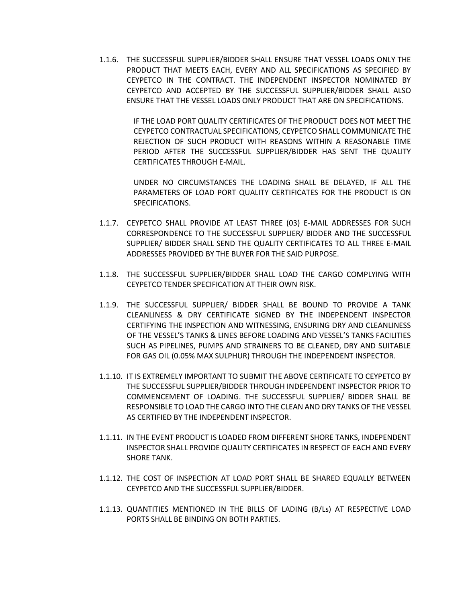1.1.6. THE SUCCESSFUL SUPPLIER/BIDDER SHALL ENSURE THAT VESSEL LOADS ONLY THE PRODUCT THAT MEETS EACH, EVERY AND ALL SPECIFICATIONS AS SPECIFIED BY CEYPETCO IN THE CONTRACT. THE INDEPENDENT INSPECTOR NOMINATED BY CEYPETCO AND ACCEPTED BY THE SUCCESSFUL SUPPLIER/BIDDER SHALL ALSO ENSURE THAT THE VESSEL LOADS ONLY PRODUCT THAT ARE ON SPECIFICATIONS.

> IF THE LOAD PORT QUALITY CERTIFICATES OF THE PRODUCT DOES NOT MEET THE CEYPETCO CONTRACTUAL SPECIFICATIONS, CEYPETCO SHALL COMMUNICATE THE REJECTION OF SUCH PRODUCT WITH REASONS WITHIN A REASONABLE TIME PERIOD AFTER THE SUCCESSFUL SUPPLIER/BIDDER HAS SENT THE QUALITY CERTIFICATES THROUGH E-MAIL.

> UNDER NO CIRCUMSTANCES THE LOADING SHALL BE DELAYED, IF ALL THE PARAMETERS OF LOAD PORT QUALITY CERTIFICATES FOR THE PRODUCT IS ON SPECIFICATIONS.

- 1.1.7. CEYPETCO SHALL PROVIDE AT LEAST THREE (03) E-MAIL ADDRESSES FOR SUCH CORRESPONDENCE TO THE SUCCESSFUL SUPPLIER/ BIDDER AND THE SUCCESSFUL SUPPLIER/ BIDDER SHALL SEND THE QUALITY CERTIFICATES TO ALL THREE E-MAIL ADDRESSES PROVIDED BY THE BUYER FOR THE SAID PURPOSE.
- 1.1.8. THE SUCCESSFUL SUPPLIER/BIDDER SHALL LOAD THE CARGO COMPLYING WITH CEYPETCO TENDER SPECIFICATION AT THEIR OWN RISK.
- 1.1.9. THE SUCCESSFUL SUPPLIER/ BIDDER SHALL BE BOUND TO PROVIDE A TANK CLEANLINESS & DRY CERTIFICATE SIGNED BY THE INDEPENDENT INSPECTOR CERTIFYING THE INSPECTION AND WITNESSING, ENSURING DRY AND CLEANLINESS OF THE VESSEL'S TANKS & LINES BEFORE LOADING AND VESSEL'S TANKS FACILITIES SUCH AS PIPELINES, PUMPS AND STRAINERS TO BE CLEANED, DRY AND SUITABLE FOR GAS OIL (0.05% MAX SULPHUR) THROUGH THE INDEPENDENT INSPECTOR.
- 1.1.10. IT IS EXTREMELY IMPORTANT TO SUBMIT THE ABOVE CERTIFICATE TO CEYPETCO BY THE SUCCESSFUL SUPPLIER/BIDDER THROUGH INDEPENDENT INSPECTOR PRIOR TO COMMENCEMENT OF LOADING. THE SUCCESSFUL SUPPLIER/ BIDDER SHALL BE RESPONSIBLE TO LOAD THE CARGO INTO THE CLEAN AND DRY TANKS OF THE VESSEL AS CERTIFIED BY THE INDEPENDENT INSPECTOR.
- 1.1.11. IN THE EVENT PRODUCT IS LOADED FROM DIFFERENT SHORE TANKS, INDEPENDENT INSPECTOR SHALL PROVIDE QUALITY CERTIFICATES IN RESPECT OF EACH AND EVERY SHORE TANK.
- 1.1.12. THE COST OF INSPECTION AT LOAD PORT SHALL BE SHARED EQUALLY BETWEEN CEYPETCO AND THE SUCCESSFUL SUPPLIER/BIDDER.
- 1.1.13. QUANTITIES MENTIONED IN THE BILLS OF LADING (B/Ls) AT RESPECTIVE LOAD PORTS SHALL BE BINDING ON BOTH PARTIES.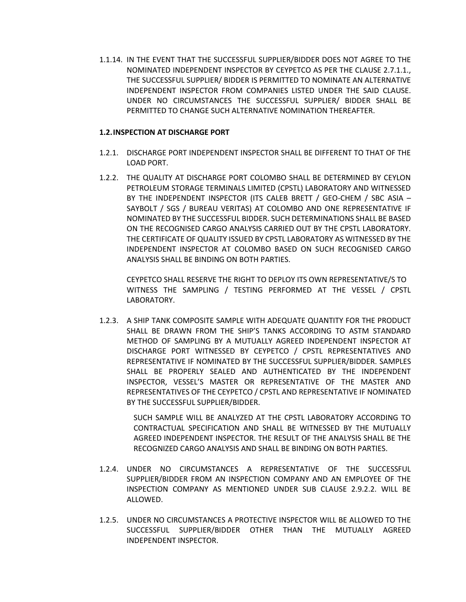1.1.14. IN THE EVENT THAT THE SUCCESSFUL SUPPLIER/BIDDER DOES NOT AGREE TO THE NOMINATED INDEPENDENT INSPECTOR BY CEYPETCO AS PER THE CLAUSE 2.7.1.1., THE SUCCESSFUL SUPPLIER/ BIDDER IS PERMITTED TO NOMINATE AN ALTERNATIVE INDEPENDENT INSPECTOR FROM COMPANIES LISTED UNDER THE SAID CLAUSE. UNDER NO CIRCUMSTANCES THE SUCCESSFUL SUPPLIER/ BIDDER SHALL BE PERMITTED TO CHANGE SUCH ALTERNATIVE NOMINATION THEREAFTER.

## **1.2.INSPECTION AT DISCHARGE PORT**

- 1.2.1. DISCHARGE PORT INDEPENDENT INSPECTOR SHALL BE DIFFERENT TO THAT OF THE LOAD PORT.
- 1.2.2. THE QUALITY AT DISCHARGE PORT COLOMBO SHALL BE DETERMINED BY CEYLON PETROLEUM STORAGE TERMINALS LIMITED (CPSTL) LABORATORY AND WITNESSED BY THE INDEPENDENT INSPECTOR (ITS CALEB BRETT / GEO-CHEM / SBC ASIA – SAYBOLT / SGS / BUREAU VERITAS) AT COLOMBO AND ONE REPRESENTATIVE IF NOMINATED BY THE SUCCESSFUL BIDDER. SUCH DETERMINATIONS SHALL BE BASED ON THE RECOGNISED CARGO ANALYSIS CARRIED OUT BY THE CPSTL LABORATORY. THE CERTIFICATE OF QUALITY ISSUED BY CPSTL LABORATORY AS WITNESSED BY THE INDEPENDENT INSPECTOR AT COLOMBO BASED ON SUCH RECOGNISED CARGO ANALYSIS SHALL BE BINDING ON BOTH PARTIES.

CEYPETCO SHALL RESERVE THE RIGHT TO DEPLOY ITS OWN REPRESENTATIVE/S TO WITNESS THE SAMPLING / TESTING PERFORMED AT THE VESSEL / CPSTL LABORATORY.

1.2.3. A SHIP TANK COMPOSITE SAMPLE WITH ADEQUATE QUANTITY FOR THE PRODUCT SHALL BE DRAWN FROM THE SHIP'S TANKS ACCORDING TO ASTM STANDARD METHOD OF SAMPLING BY A MUTUALLY AGREED INDEPENDENT INSPECTOR AT DISCHARGE PORT WITNESSED BY CEYPETCO / CPSTL REPRESENTATIVES AND REPRESENTATIVE IF NOMINATED BY THE SUCCESSFUL SUPPLIER/BIDDER. SAMPLES SHALL BE PROPERLY SEALED AND AUTHENTICATED BY THE INDEPENDENT INSPECTOR, VESSEL'S MASTER OR REPRESENTATIVE OF THE MASTER AND REPRESENTATIVES OF THE CEYPETCO / CPSTL AND REPRESENTATIVE IF NOMINATED BY THE SUCCESSFUL SUPPLIER/BIDDER.

> SUCH SAMPLE WILL BE ANALYZED AT THE CPSTL LABORATORY ACCORDING TO CONTRACTUAL SPECIFICATION AND SHALL BE WITNESSED BY THE MUTUALLY AGREED INDEPENDENT INSPECTOR. THE RESULT OF THE ANALYSIS SHALL BE THE RECOGNIZED CARGO ANALYSIS AND SHALL BE BINDING ON BOTH PARTIES.

- 1.2.4. UNDER NO CIRCUMSTANCES A REPRESENTATIVE OF THE SUCCESSFUL SUPPLIER/BIDDER FROM AN INSPECTION COMPANY AND AN EMPLOYEE OF THE INSPECTION COMPANY AS MENTIONED UNDER SUB CLAUSE 2.9.2.2. WILL BE ALLOWED.
- 1.2.5. UNDER NO CIRCUMSTANCES A PROTECTIVE INSPECTOR WILL BE ALLOWED TO THE SUCCESSFUL SUPPLIER/BIDDER OTHER THAN THE MUTUALLY AGREED INDEPENDENT INSPECTOR.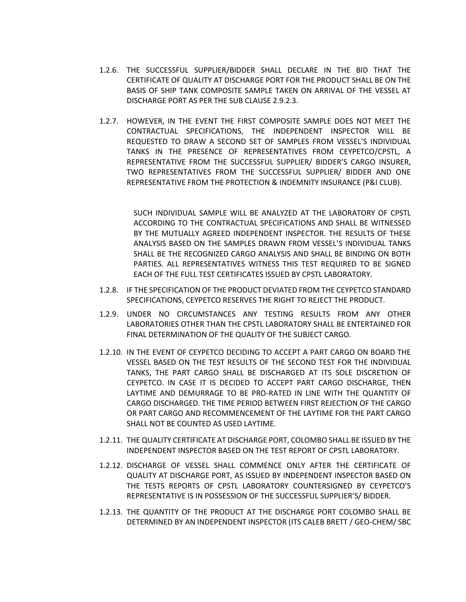- 1.2.6. THE SUCCESSFUL SUPPLIER/BIDDER SHALL DECLARE IN THE BID THAT THE CERTIFICATE OF QUALITY AT DISCHARGE PORT FOR THE PRODUCT SHALL BE ON THE BASIS OF SHIP TANK COMPOSITE SAMPLE TAKEN ON ARRIVAL OF THE VESSEL AT DISCHARGE PORT AS PER THE SUB CLAUSE 2.9.2.3.
- 1.2.7. HOWEVER, IN THE EVENT THE FIRST COMPOSITE SAMPLE DOES NOT MEET THE CONTRACTUAL SPECIFICATIONS, THE INDEPENDENT INSPECTOR WILL BE REQUESTED TO DRAW A SECOND SET OF SAMPLES FROM VESSEL'S INDIVIDUAL TANKS IN THE PRESENCE OF REPRESENTATIVES FROM CEYPETCO/CPSTL, A REPRESENTATIVE FROM THE SUCCESSFUL SUPPLIER/ BIDDER'S CARGO INSURER, TWO REPRESENTATIVES FROM THE SUCCESSFUL SUPPLIER/ BIDDER AND ONE REPRESENTATIVE FROM THE PROTECTION & INDEMNITY INSURANCE (P&I CLUB).

SUCH INDIVIDUAL SAMPLE WILL BE ANALYZED AT THE LABORATORY OF CPSTL ACCORDING TO THE CONTRACTUAL SPECIFICATIONS AND SHALL BE WITNESSED BY THE MUTUALLY AGREED INDEPENDENT INSPECTOR. THE RESULTS OF THESE ANALYSIS BASED ON THE SAMPLES DRAWN FROM VESSEL'S INDIVIDUAL TANKS SHALL BE THE RECOGNIZED CARGO ANALYSIS AND SHALL BE BINDING ON BOTH PARTIES. ALL REPRESENTATIVES WITNESS THIS TEST REQUIRED TO BE SIGNED EACH OF THE FULL TEST CERTIFICATES ISSUED BY CPSTL LABORATORY.

- 1.2.8. IF THE SPECIFICATION OF THE PRODUCT DEVIATED FROM THE CEYPETCO STANDARD SPECIFICATIONS, CEYPETCO RESERVES THE RIGHT TO REJECT THE PRODUCT.
- 1.2.9. UNDER NO CIRCUMSTANCES ANY TESTING RESULTS FROM ANY OTHER LABORATORIES OTHER THAN THE CPSTL LABORATORY SHALL BE ENTERTAINED FOR FINAL DETERMINATION OF THE QUALITY OF THE SUBJECT CARGO.
- 1.2.10. IN THE EVENT OF CEYPETCO DECIDING TO ACCEPT A PART CARGO ON BOARD THE VESSEL BASED ON THE TEST RESULTS OF THE SECOND TEST FOR THE INDIVIDUAL TANKS, THE PART CARGO SHALL BE DISCHARGED AT ITS SOLE DISCRETION OF CEYPETCO. IN CASE IT IS DECIDED TO ACCEPT PART CARGO DISCHARGE, THEN LAYTIME AND DEMURRAGE TO BE PRO-RATED IN LINE WITH THE QUANTITY OF CARGO DISCHARGED. THE TIME PERIOD BETWEEN FIRST REJECTION OF THE CARGO OR PART CARGO AND RECOMMENCEMENT OF THE LAYTIME FOR THE PART CARGO SHALL NOT BE COUNTED AS USED LAYTIME.
- 1.2.11. THE QUALITY CERTIFICATE AT DISCHARGE PORT, COLOMBO SHALL BE ISSUED BY THE INDEPENDENT INSPECTOR BASED ON THE TEST REPORT OF CPSTL LABORATORY.
- 1.2.12. DISCHARGE OF VESSEL SHALL COMMENCE ONLY AFTER THE CERTIFICATE OF QUALITY AT DISCHARGE PORT, AS ISSUED BY INDEPENDENT INSPECTOR BASED ON THE TESTS REPORTS OF CPSTL LABORATORY COUNTERSIGNED BY CEYPETCO'S REPRESENTATIVE IS IN POSSESSION OF THE SUCCESSFUL SUPPLIER'S/ BIDDER.
- 1.2.13. THE QUANTITY OF THE PRODUCT AT THE DISCHARGE PORT COLOMBO SHALL BE DETERMINED BY AN INDEPENDENT INSPECTOR (ITS CALEB BRETT / GEO-CHEM/ SBC